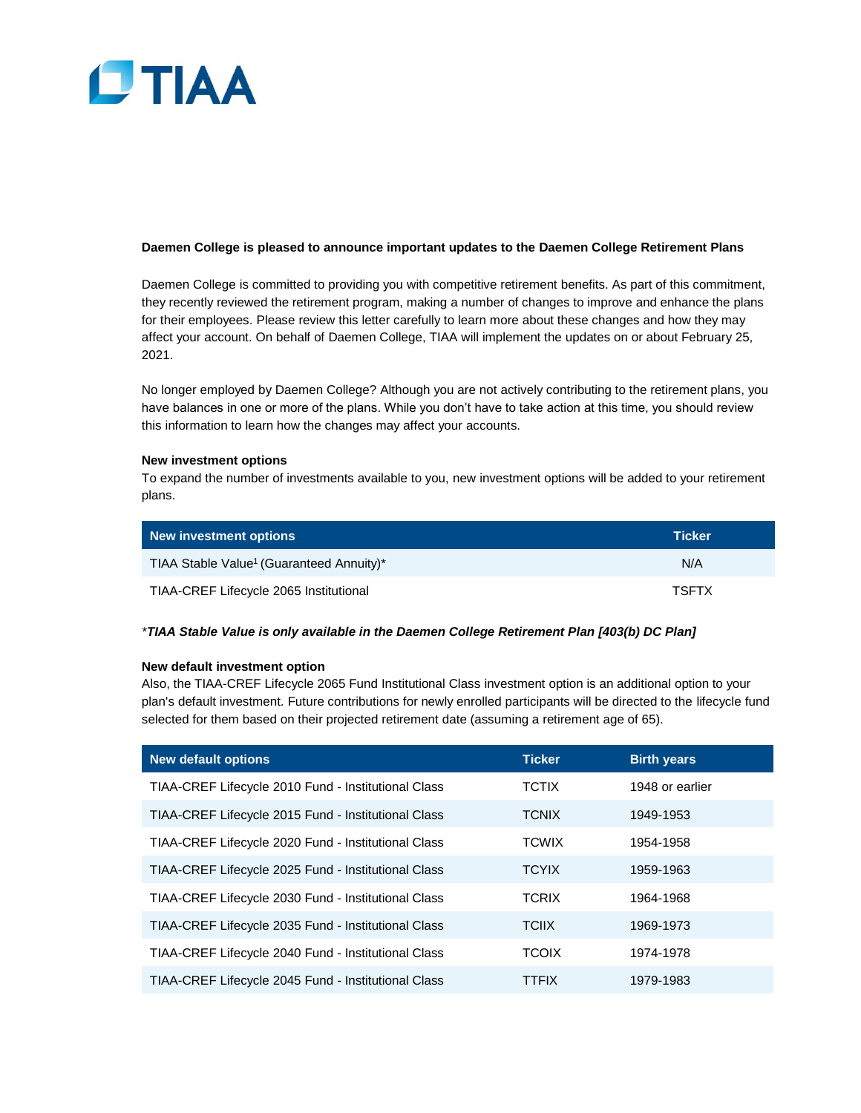

# **Daemen College is pleased to announce important updates to the Daemen College Retirement Plans**

Daemen College is committed to providing you with competitive retirement benefits. As part of this commitment, they recently reviewed the retirement program, making a number of changes to improve and enhance the plans for their employees. Please review this letter carefully to learn more about these changes and how they may affect your account. On behalf of Daemen College, TIAA will implement the updates on or about February 25, 2021.

No longer employed by Daemen College? Although you are not actively contributing to the retirement plans, you have balances in one or more of the plans. While you don't have to take action at this time, you should review this information to learn how the changes may affect your accounts.

## **New investment options**

To expand the number of investments available to you, new investment options will be added to your retirement plans.

| New investment options                               | <b>Ticker</b> |
|------------------------------------------------------|---------------|
| TIAA Stable Value <sup>1</sup> (Guaranteed Annuity)* | N/A           |
| TIAA-CREF Lifecycle 2065 Institutional               | <b>TSFTX</b>  |

# *\*TIAA Stable Value is only available in the Daemen College Retirement Plan [403(b) DC Plan]*

## **New default investment option**

Also, the TIAA-CREF Lifecycle 2065 Fund Institutional Class investment option is an additional option to your plan's default investment. Future contributions for newly enrolled participants will be directed to the lifecycle fund selected for them based on their projected retirement date (assuming a retirement age of 65).

| <b>New default options</b>                          | <b>Ticker</b> | <b>Birth years</b> |
|-----------------------------------------------------|---------------|--------------------|
| TIAA-CREF Lifecycle 2010 Fund - Institutional Class | <b>TCTIX</b>  | 1948 or earlier    |
| TIAA-CREF Lifecycle 2015 Fund - Institutional Class | <b>TCNIX</b>  | 1949-1953          |
| TIAA-CREF Lifecycle 2020 Fund - Institutional Class | <b>TCWIX</b>  | 1954-1958          |
| TIAA-CREF Lifecycle 2025 Fund - Institutional Class | <b>TCYIX</b>  | 1959-1963          |
| TIAA-CREF Lifecycle 2030 Fund - Institutional Class | <b>TCRIX</b>  | 1964-1968          |
| TIAA-CREF Lifecycle 2035 Fund - Institutional Class | <b>TCIIX</b>  | 1969-1973          |
| TIAA-CREF Lifecycle 2040 Fund - Institutional Class | <b>TCOIX</b>  | 1974-1978          |
| TIAA-CREF Lifecycle 2045 Fund - Institutional Class | <b>TTFIX</b>  | 1979-1983          |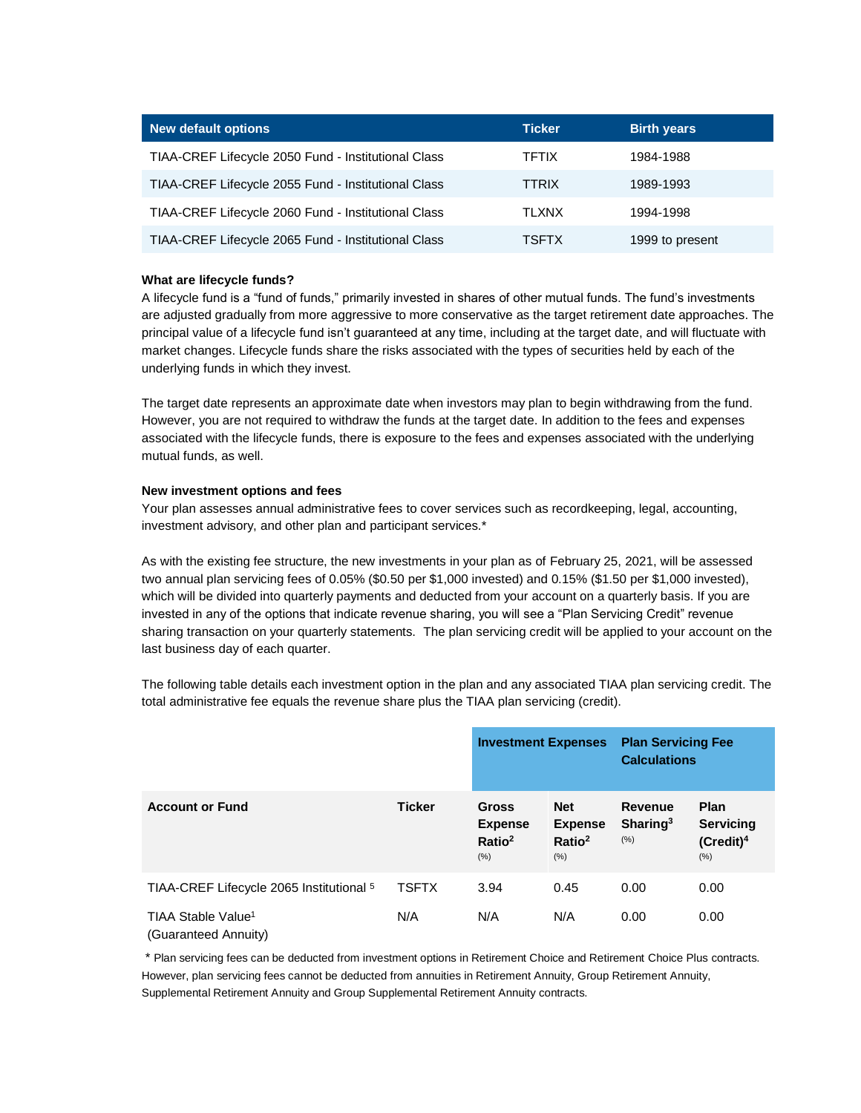| <b>New default options</b>                          | <b>Ticker</b> | <b>Birth years</b> |
|-----------------------------------------------------|---------------|--------------------|
| TIAA-CREF Lifecycle 2050 Fund - Institutional Class | <b>TFTIX</b>  | 1984-1988          |
| TIAA-CREF Lifecycle 2055 Fund - Institutional Class | <b>TTRIX</b>  | 1989-1993          |
| TIAA-CREF Lifecycle 2060 Fund - Institutional Class | <b>TLXNX</b>  | 1994-1998          |
| TIAA-CREF Lifecycle 2065 Fund - Institutional Class | <b>TSFTX</b>  | 1999 to present    |

# **What are lifecycle funds?**

A lifecycle fund is a "fund of funds," primarily invested in shares of other mutual funds. The fund's investments are adjusted gradually from more aggressive to more conservative as the target retirement date approaches. The principal value of a lifecycle fund isn't guaranteed at any time, including at the target date, and will fluctuate with market changes. Lifecycle funds share the risks associated with the types of securities held by each of the underlying funds in which they invest.

The target date represents an approximate date when investors may plan to begin withdrawing from the fund. However, you are not required to withdraw the funds at the target date. In addition to the fees and expenses associated with the lifecycle funds, there is exposure to the fees and expenses associated with the underlying mutual funds, as well.

# **New investment options and fees**

Your plan assesses annual administrative fees to cover services such as recordkeeping, legal, accounting, investment advisory, and other plan and participant services.\*

As with the existing fee structure, the new investments in your plan as of February 25, 2021, will be assessed two annual plan servicing fees of 0.05% (\$0.50 per \$1,000 invested) and 0.15% (\$1.50 per \$1,000 invested), which will be divided into quarterly payments and deducted from your account on a quarterly basis. If you are invested in any of the options that indicate revenue sharing, you will see a "Plan Servicing Credit" revenue sharing transaction on your quarterly statements. The plan servicing credit will be applied to your account on the last business day of each quarter.

The following table details each investment option in the plan and any associated TIAA plan servicing credit. The total administrative fee equals the revenue share plus the TIAA plan servicing (credit).

|                                                        |               | <b>Investment Expenses</b>                                   |                                                            | <b>Plan Servicing Fee</b><br><b>Calculations</b>  |                                                        |
|--------------------------------------------------------|---------------|--------------------------------------------------------------|------------------------------------------------------------|---------------------------------------------------|--------------------------------------------------------|
| <b>Account or Fund</b>                                 | <b>Ticker</b> | <b>Gross</b><br><b>Expense</b><br>Ratio <sup>2</sup><br>(% ) | <b>Net</b><br><b>Expense</b><br>Ratio <sup>2</sup><br>(% ) | <b>Revenue</b><br>Sharing <sup>3</sup><br>$(\% )$ | <b>Plan</b><br><b>Servicing</b><br>$(Credit)^4$<br>(%) |
| TIAA-CREF Lifecycle 2065 Institutional 5               | <b>TSFTX</b>  | 3.94                                                         | 0.45                                                       | 0.00                                              | 0.00                                                   |
| TIAA Stable Value <sup>1</sup><br>(Guaranteed Annuity) | N/A           | N/A                                                          | N/A                                                        | 0.00                                              | 0.00                                                   |

\* Plan servicing fees can be deducted from investment options in Retirement Choice and Retirement Choice Plus contracts. However, plan servicing fees cannot be deducted from annuities in Retirement Annuity, Group Retirement Annuity, Supplemental Retirement Annuity and Group Supplemental Retirement Annuity contracts.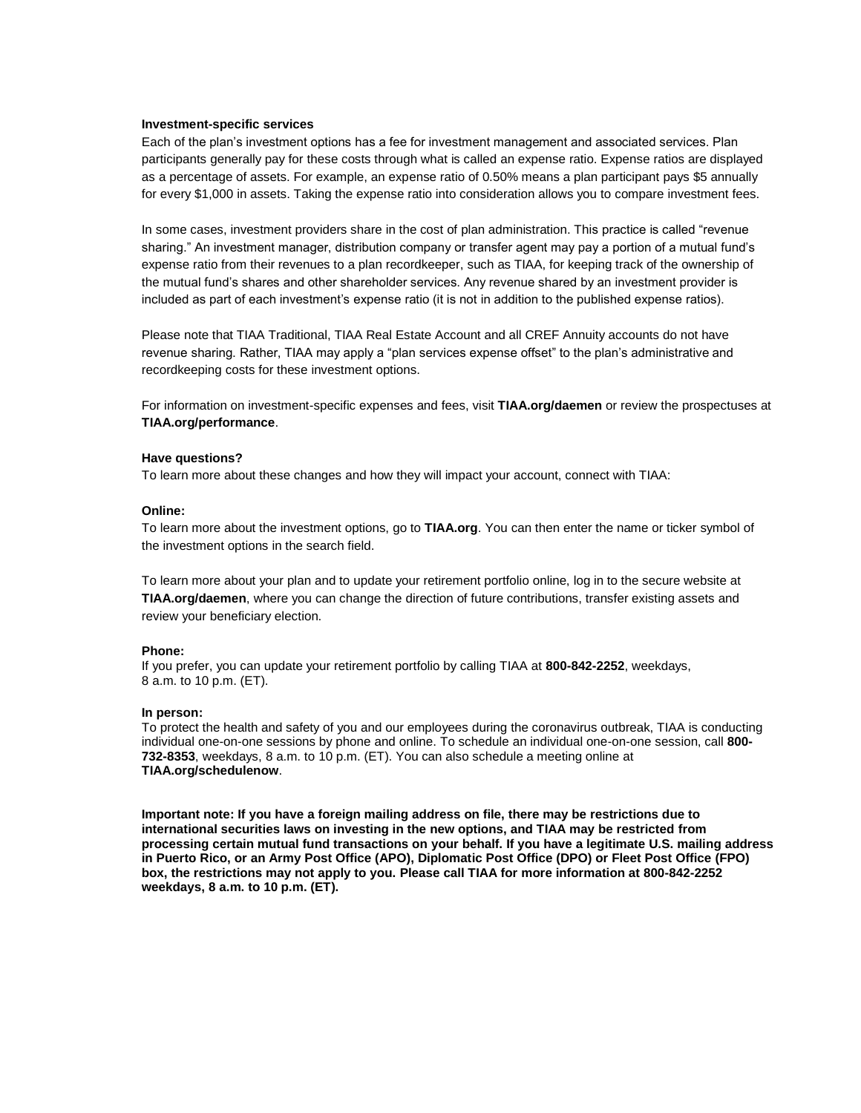## **Investment-specific services**

Each of the plan's investment options has a fee for investment management and associated services. Plan participants generally pay for these costs through what is called an expense ratio. Expense ratios are displayed as a percentage of assets. For example, an expense ratio of 0.50% means a plan participant pays \$5 annually for every \$1,000 in assets. Taking the expense ratio into consideration allows you to compare investment fees.

In some cases, investment providers share in the cost of plan administration. This practice is called "revenue sharing." An investment manager, distribution company or transfer agent may pay a portion of a mutual fund's expense ratio from their revenues to a plan recordkeeper, such as TIAA, for keeping track of the ownership of the mutual fund's shares and other shareholder services. Any revenue shared by an investment provider is included as part of each investment's expense ratio (it is not in addition to the published expense ratios).

Please note that TIAA Traditional, TIAA Real Estate Account and all CREF Annuity accounts do not have revenue sharing. Rather, TIAA may apply a "plan services expense offset" to the plan's administrative and recordkeeping costs for these investment options.

For information on investment-specific expenses and fees, visit **TIAA.org/daemen** or review the prospectuses at **TIAA.org/performance**.

#### **Have questions?**

To learn more about these changes and how they will impact your account, connect with TIAA:

## **Online:**

To learn more about the investment options, go to **TIAA.org**. You can then enter the name or ticker symbol of the investment options in the search field.

To learn more about your plan and to update your retirement portfolio online, log in to the secure website at **TIAA.org/daemen**, where you can change the direction of future contributions, transfer existing assets and review your beneficiary election.

## **Phone:**

If you prefer, you can update your retirement portfolio by calling TIAA at **800-842-2252**, weekdays, 8 a.m. to 10 p.m. (ET).

#### **In person:**

To protect the health and safety of you and our employees during the coronavirus outbreak, TIAA is conducting individual one-on-one sessions by phone and online. To schedule an individual one-on-one session, call **800- 732-8353**, weekdays, 8 a.m. to 10 p.m. (ET). You can also schedule a meeting online at **TIAA.org/schedulenow**.

**Important note: If you have a foreign mailing address on file, there may be restrictions due to international securities laws on investing in the new options, and TIAA may be restricted from processing certain mutual fund transactions on your behalf. If you have a legitimate U.S. mailing address in Puerto Rico, or an Army Post Office (APO), Diplomatic Post Office (DPO) or Fleet Post Office (FPO) box, the restrictions may not apply to you. Please call TIAA for more information at 800-842-2252 weekdays, 8 a.m. to 10 p.m. (ET).**